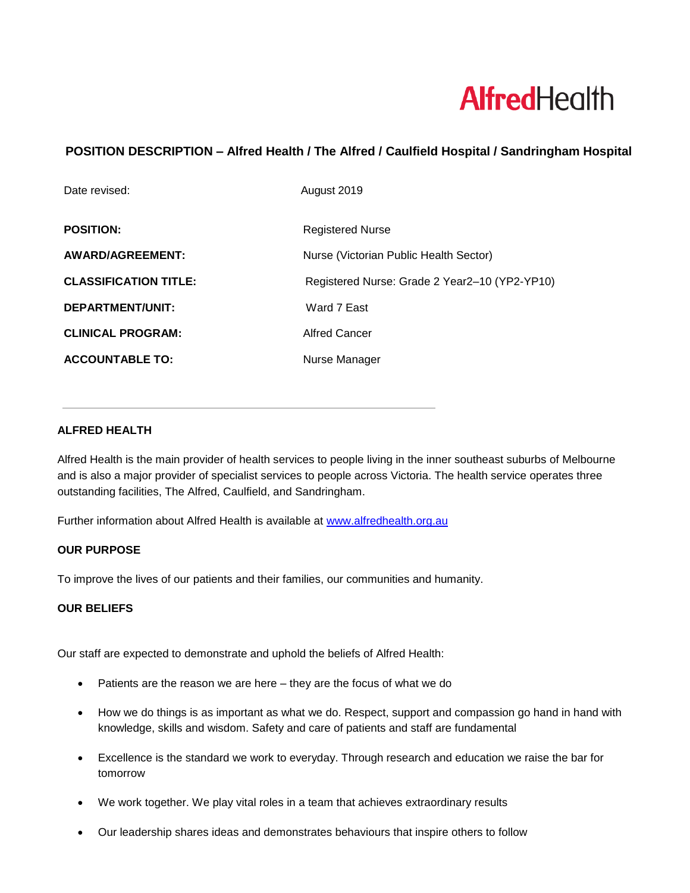# **AlfredHealth**

# **POSITION DESCRIPTION – Alfred Health / The Alfred / Caulfield Hospital / Sandringham Hospital**

| Date revised:                | August 2019                                   |
|------------------------------|-----------------------------------------------|
| <b>POSITION:</b>             | <b>Registered Nurse</b>                       |
| AWARD/AGREEMENT:             | Nurse (Victorian Public Health Sector)        |
| <b>CLASSIFICATION TITLE:</b> | Registered Nurse: Grade 2 Year2-10 (YP2-YP10) |
| <b>DEPARTMENT/UNIT:</b>      | Ward 7 East                                   |
| <b>CLINICAL PROGRAM:</b>     | <b>Alfred Cancer</b>                          |
| <b>ACCOUNTABLE TO:</b>       | Nurse Manager                                 |

## **ALFRED HEALTH**

Alfred Health is the main provider of health services to people living in the inner southeast suburbs of Melbourne and is also a major provider of specialist services to people across Victoria. The health service operates three outstanding facilities, The Alfred, Caulfield, and Sandringham.

Further information about Alfred Health is available at [www.alfredhealth.org.au](http://www.alfred.org.au/)

#### **OUR PURPOSE**

To improve the lives of our patients and their families, our communities and humanity.

#### **OUR BELIEFS**

Our staff are expected to demonstrate and uphold the beliefs of Alfred Health:

- Patients are the reason we are here they are the focus of what we do
- How we do things is as important as what we do. Respect, support and compassion go hand in hand with knowledge, skills and wisdom. Safety and care of patients and staff are fundamental
- Excellence is the standard we work to everyday. Through research and education we raise the bar for tomorrow
- We work together. We play vital roles in a team that achieves extraordinary results
- Our leadership shares ideas and demonstrates behaviours that inspire others to follow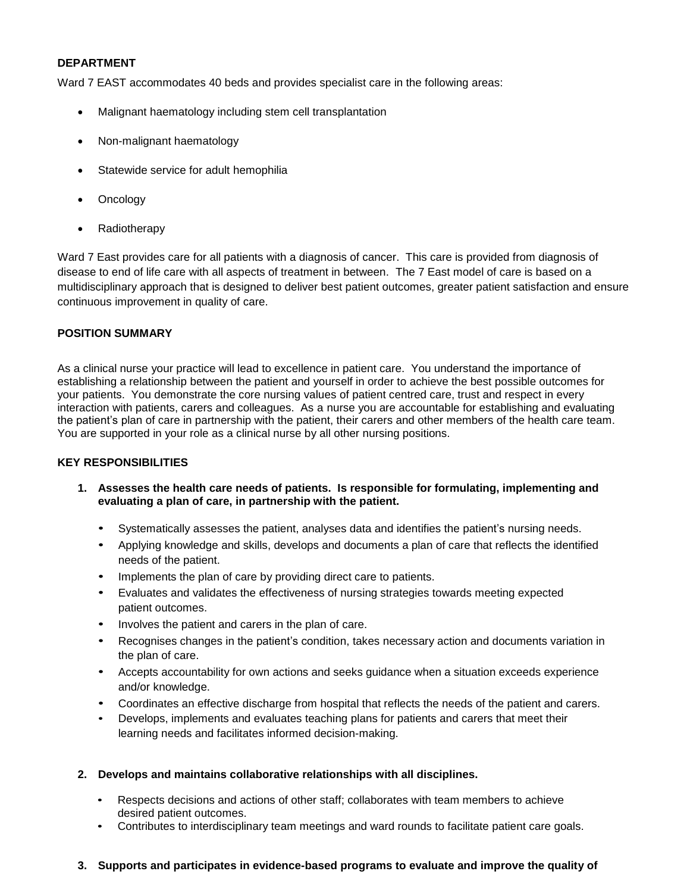#### **DEPARTMENT**

Ward 7 EAST accommodates 40 beds and provides specialist care in the following areas:

- Malignant haematology including stem cell transplantation
- Non-malignant haematology
- Statewide service for adult hemophilia
- Oncology
- Radiotherapy

Ward 7 East provides care for all patients with a diagnosis of cancer. This care is provided from diagnosis of disease to end of life care with all aspects of treatment in between. The 7 East model of care is based on a multidisciplinary approach that is designed to deliver best patient outcomes, greater patient satisfaction and ensure continuous improvement in quality of care.

#### **POSITION SUMMARY**

As a clinical nurse your practice will lead to excellence in patient care. You understand the importance of establishing a relationship between the patient and yourself in order to achieve the best possible outcomes for your patients. You demonstrate the core nursing values of patient centred care, trust and respect in every interaction with patients, carers and colleagues. As a nurse you are accountable for establishing and evaluating the patient's plan of care in partnership with the patient, their carers and other members of the health care team. You are supported in your role as a clinical nurse by all other nursing positions.

#### **KEY RESPONSIBILITIES**

- **1. Assesses the health care needs of patients. Is responsible for formulating, implementing and evaluating a plan of care, in partnership with the patient.**
	- Systematically assesses the patient, analyses data and identifies the patient's nursing needs.
	- Applying knowledge and skills, develops and documents a plan of care that reflects the identified needs of the patient.
	- Implements the plan of care by providing direct care to patients.
	- Evaluates and validates the effectiveness of nursing strategies towards meeting expected patient outcomes.
	- Involves the patient and carers in the plan of care.
	- Recognises changes in the patient's condition, takes necessary action and documents variation in the plan of care.
	- Accepts accountability for own actions and seeks guidance when a situation exceeds experience and/or knowledge.
	- Coordinates an effective discharge from hospital that reflects the needs of the patient and carers.
	- Develops, implements and evaluates teaching plans for patients and carers that meet their learning needs and facilitates informed decision-making.
- **2. Develops and maintains collaborative relationships with all disciplines.**
	- Respects decisions and actions of other staff; collaborates with team members to achieve desired patient outcomes.
	- Contributes to interdisciplinary team meetings and ward rounds to facilitate patient care goals.

#### **3. Supports and participates in evidence-based programs to evaluate and improve the quality of**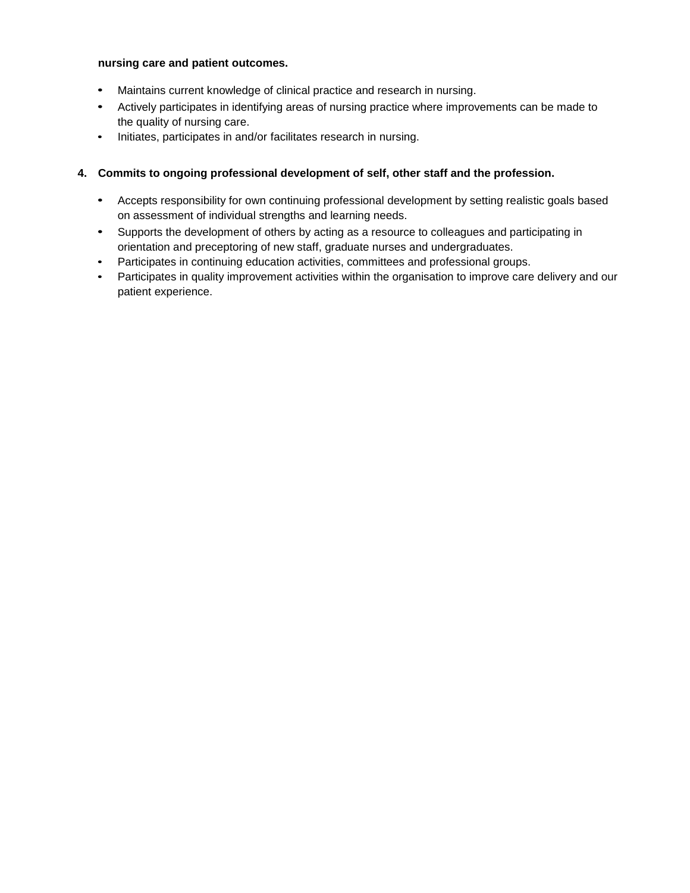#### **nursing care and patient outcomes.**

- Maintains current knowledge of clinical practice and research in nursing.
- Actively participates in identifying areas of nursing practice where improvements can be made to the quality of nursing care.
- Initiates, participates in and/or facilitates research in nursing.

### **4. Commits to ongoing professional development of self, other staff and the profession.**

- Accepts responsibility for own continuing professional development by setting realistic goals based on assessment of individual strengths and learning needs.
- Supports the development of others by acting as a resource to colleagues and participating in orientation and preceptoring of new staff, graduate nurses and undergraduates.
- Participates in continuing education activities, committees and professional groups.
- Participates in quality improvement activities within the organisation to improve care delivery and our patient experience.